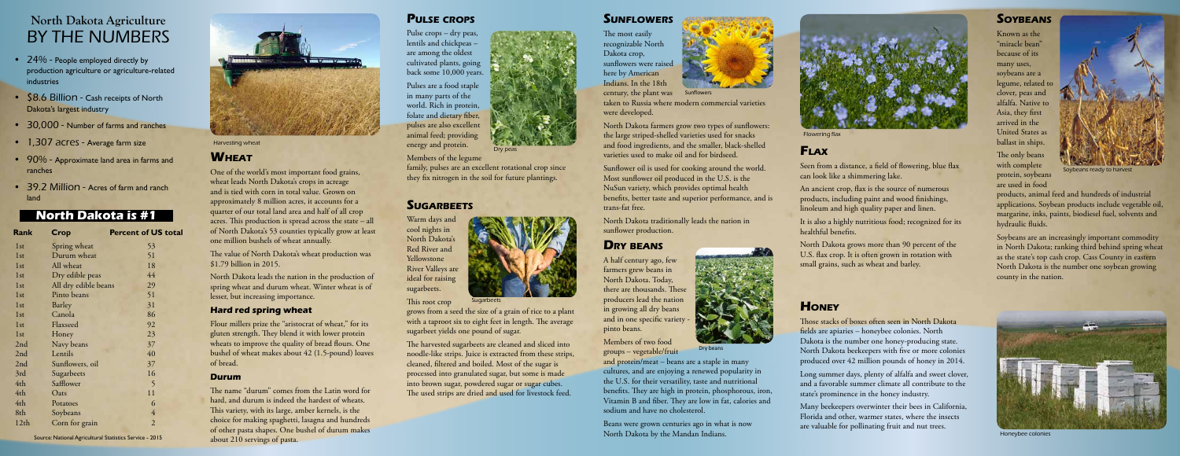#### **Pulse crops**

Pulse crops – dry peas, lentils and chickpeas – are among the oldest cultivated plants, going back some 10,000 years.

Pulses are a food staple in many parts of the world. Rich in protein, folate and dietary fiber, pulses are also excellent animal feed; providing energy and protein.

Members of the legume family, pulses are an excellent rotational crop since

they fix nitrogen in the soil for future plantings.

Warm days and cool nights in North Dakota's Red River and Yellowstone River Valleys are ideal for raising sugarbeets.

This root crop

grows from a seed the size of a grain of rice to a plant with a taproot six to eight feet in length. The average sugarbeet yields one pound of sugar.

taken to Russia where modern commercial varieties **Sunflowers** 



The harvested sugarbeets are cleaned and sliced into noodle-like strips. Juice is extracted from these strips, cleaned, filtered and boiled. Most of the sugar is processed into granulated sugar, but some is made into brown sugar, powdered sugar or sugar cubes. The used strips are dried and used for livestock feed.

#### **SUNFLOWERS**

#### Harvesting wheat

#### **WHEAT**





Dry peas

#### **SUGARBEETS**

| Rank             | Crop                 | <b>Percent of US total</b> |
|------------------|----------------------|----------------------------|
| 1st              | Spring wheat         | 53                         |
| 1 <sub>st</sub>  | Durum wheat          | 51                         |
| 1st              | All wheat            | 18                         |
| 1st              | Dry edible peas      | 44                         |
| 1st              | All dry edible beans | 29                         |
| 1st              | Pinto beans          | 51                         |
| 1st              | Barley               | 31                         |
| 1st              | Canola               | 86                         |
| 1st              | Flaxseed             | 92                         |
| 1st              | Honey                | 23                         |
| 2nd              | Navy beans           | 37                         |
| 2nd              | Lentils              | 40                         |
| 2nd              | Sunflowers, oil      | 37                         |
| 3rd              | Sugarbeets           | 16                         |
| 4th              | Safflower            | 5                          |
| 4th              | Oats                 | 11                         |
| 4th              | Potatoes             | 6                          |
| 8th              | Soybeans             | 4                          |
| 12 <sub>th</sub> | Corn for grain       | $\overline{2}$             |

The most easily recognizable North Dakota crop, sunflowers were raised here by American Indians. In the 18th century, the plant was were developed.

North Dakota farmers grow two types of sunflowers: the large striped-shelled varieties used for snacks and food ingredients, and the smaller, black-shelled varieties used to make oil and for birdseed.

Sunflower oil is used for cooking around the world. Most sunflower oil produced in the U.S. is the NuSun variety, which provides optimal health benefits, better taste and superior performance, and is trans-fat free.

North Dakota traditionally leads the nation in sunflower production.

### **Flax**

Seen from a distance, a field of flowering, blue flax can look like a shimmering lake.

An ancient crop, flax is the source of numerous products, including paint and wood finishings, linoleum and high quality paper and linen.

It is also a highly nutritious food; recognized for its healthful benefits.

North Dakota grows more than 90 percent of the U.S. flax crop. It is often grown in rotation with small grains, such as wheat and barley.

Known as the "miracle bean" because of its many uses, soybeans are a legume, related to clover, peas and alfalfa. Native to Asia, they first arrived in the United States as ballast in ships.

The only beans with complete protein, soybeans are used in food

- 24% People employed directly by production agriculture or agriculture-related industries
- \$8.6 Billion Cash receipts of North Dakota's largest industry
- 30,000 Number of farms and ranches
- 1,307 acres Average farm size
- 90% Approximate land area in farms and ranches
- 39.2 Million Acres of farm and ranch land

products, animal feed and hundreds of industrial applications. Soybean products include vegetable oil, margarine, inks, paints, biodiesel fuel, solvents and hydraulic fluids.

Soybeans are an increasingly important commodity in North Dakota; ranking third behind spring wheat as the state's top cash crop. Cass County in eastern North Dakota is the number one soybean growing county in the nation.

#### **Dry beans**

A half century ago, few farmers grew beans in North Dakota. Today, there are thousands. These producers lead the nation in growing all dry beans and in one specific variety pinto beans.

Beans were grown centuries ago in what is now North Dakota by the Mandan Indians.

### **Honey**

Members of two food groups – vegetable/fruit and protein/meat – beans are a staple in many cultures, and are enjoying a renewed popularity in the U.S. for their versatility, taste and nutritional benefits. They are high in protein, phosphorous, iron, Vitamin B and fiber. They are low in fat, calories and sodium and have no cholesterol. Dry beans

Those stacks of boxes often seen in North Dakota fields are apiaries – honeybee colonies. North Dakota is the number one honey-producing state. North Dakota beekeepers with five or more colonies produced over 42 million pounds of honey in 2014.

Long summer days, plenty of alfalfa and sweet clover, and a favorable summer climate all contribute to the state's prominence in the honey industry.

Many beekeepers overwinter their bees in California, Florida and other, warmer states, where the insects are valuable for pollinating fruit and nut trees.

#### **SOYBEANS**



Flowering flax



Soybeans ready to harvest



Honeybee colonies

One of the world's most important food grains, wheat leads North Dakota's crops in acreage and is tied with corn in total value. Grown on approximately 8 million acres, it accounts for a quarter of our total land area and half of all crop acres. This production is spread across the state – all of North Dakota's 53 counties typically grow at least one million bushels of wheat annually.

The value of North Dakota's wheat production was \$1.79 billion in 2015.

North Dakota leads the nation in the production of spring wheat and durum wheat. Winter wheat is of lesser, but increasing importance.

#### **Hard red spring wheat**

Flour millers prize the "aristocrat of wheat," for its gluten strength. They blend it with lower protein wheats to improve the quality of bread flours. One bushel of wheat makes about 42 (1.5-pound) loaves of bread.

#### **Durum**

The name "durum" comes from the Latin word for hard, and durum is indeed the hardest of wheats. This variety, with its large, amber kernels, is the choice for making spaghetti, lasagna and hundreds of other pasta shapes. One bushel of durum makes about 210 servings of pasta.

#### **North Dakota is #1**

# **North Dakota Agriculture**  BY THE NUMBERS